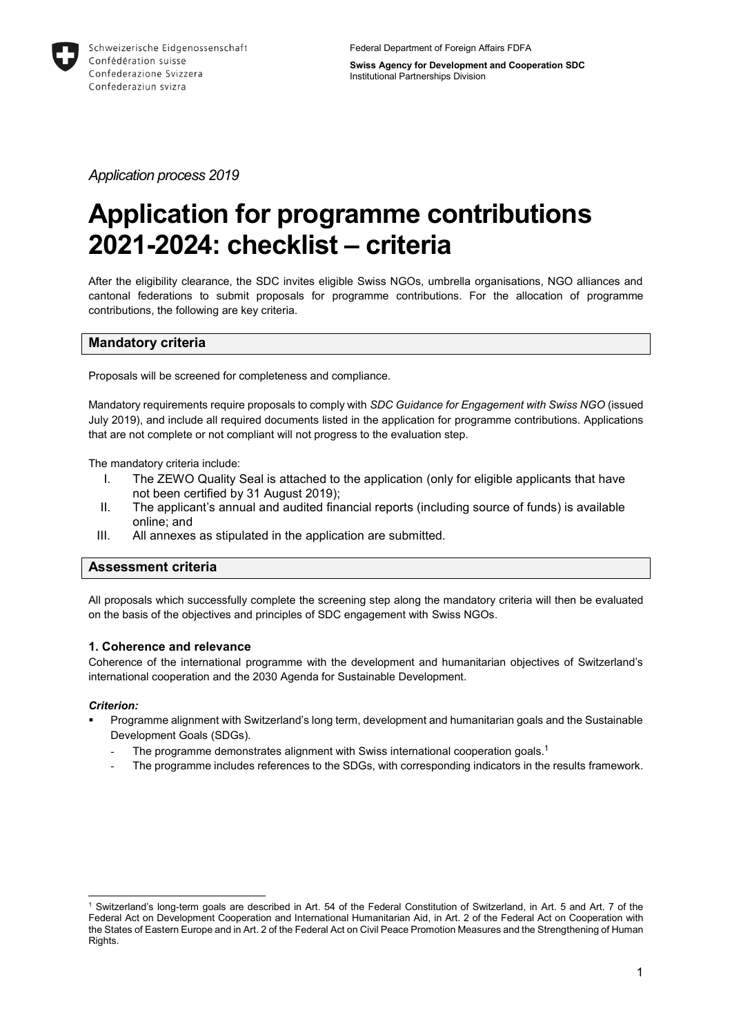

Federal Department of Foreign Affairs FDFA

**Swiss Agency for Development and Cooperation SDC** Institutional Partnerships Division

*Application process 2019*

# **Application for programme contributions 2021-2024: checklist – criteria**

After the eligibility clearance, the SDC invites eligible Swiss NGOs, umbrella organisations, NGO alliances and cantonal federations to submit proposals for programme contributions. For the allocation of programme contributions, the following are key criteria.

# **Mandatory criteria**

Proposals will be screened for completeness and compliance.

Mandatory requirements require proposals to comply with *SDC Guidance for Engagement with Swiss NGO* (issued July 2019), and include all required documents listed in the application for programme contributions. Applications that are not complete or not compliant will not progress to the evaluation step.

The mandatory criteria include:

- I. The ZEWO Quality Seal is attached to the application (only for eligible applicants that have not been certified by 31 August 2019);
- II. The applicant's annual and audited financial reports (including source of funds) is available online; and
- III. All annexes as stipulated in the application are submitted.

# **Assessment criteria**

All proposals which successfully complete the screening step along the mandatory criteria will then be evaluated on the basis of the objectives and principles of SDC engagement with Swiss NGOs.

# **1. Coherence and relevance**

Coherence of the international programme with the development and humanitarian objectives of Switzerland's international cooperation and the 2030 Agenda for Sustainable Development.

# *Criterion:*

- Programme alignment with Switzerland's long term, development and humanitarian goals and the Sustainable Development Goals (SDGs).
	- The programme demonstrates alignment with Swiss international cooperation goals.<sup>1</sup>
	- The programme includes references to the SDGs, with corresponding indicators in the results framework.

<sup>-</sup><sup>1</sup> Switzerland's long-term goals are described in Art. 54 of the Federal Constitution of Switzerland, in Art. 5 and Art. 7 of the Federal Act on Development Cooperation and International Humanitarian Aid, in Art. 2 of the Federal Act on Cooperation with the States of Eastern Europe and in Art. 2 of the Federal Act on Civil Peace Promotion Measures and the Strengthening of Human Rights.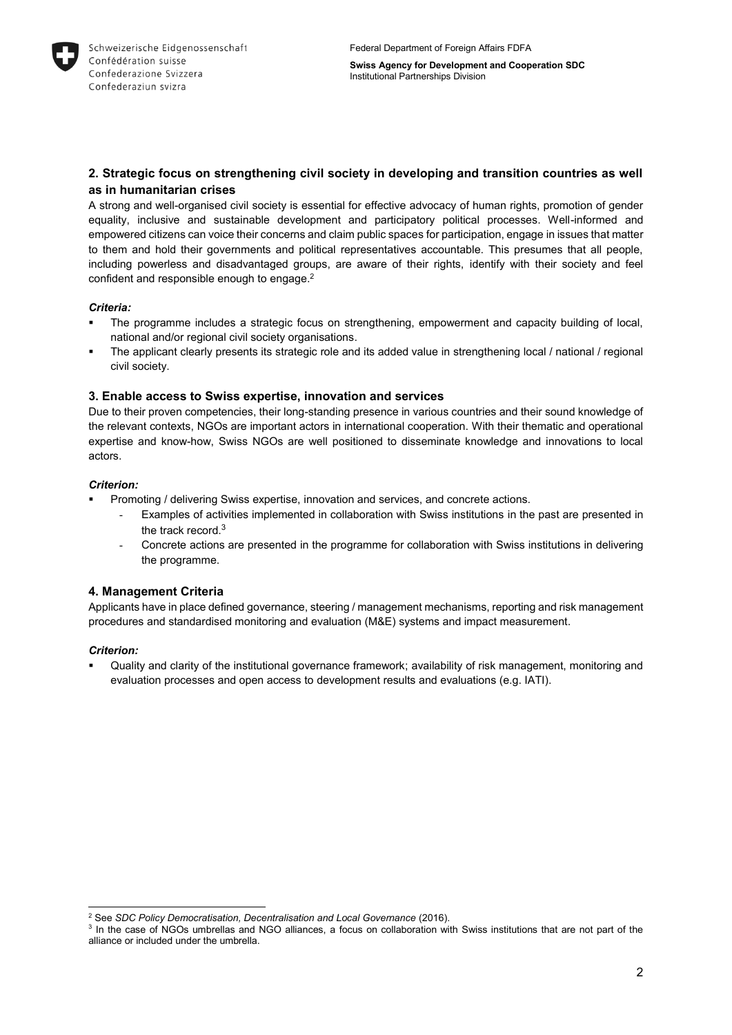

# **2. Strategic focus on strengthening civil society in developing and transition countries as well as in humanitarian crises**

A strong and well-organised civil society is essential for effective advocacy of human rights, promotion of gender equality, inclusive and sustainable development and participatory political processes. Well-informed and empowered citizens can voice their concerns and claim public spaces for participation, engage in issues that matter to them and hold their governments and political representatives accountable. This presumes that all people, including powerless and disadvantaged groups, are aware of their rights, identify with their society and feel confident and responsible enough to engage. 2

#### *Criteria:*

- The programme includes a strategic focus on strengthening, empowerment and capacity building of local, national and/or regional civil society organisations.
- The applicant clearly presents its strategic role and its added value in strengthening local / national / regional civil society.

## **3. Enable access to Swiss expertise, innovation and services**

Due to their proven competencies, their long-standing presence in various countries and their sound knowledge of the relevant contexts, NGOs are important actors in international cooperation. With their thematic and operational expertise and know-how, Swiss NGOs are well positioned to disseminate knowledge and innovations to local actors.

## *Criterion:*

- Promoting / delivering Swiss expertise, innovation and services, and concrete actions.
	- Examples of activities implemented in collaboration with Swiss institutions in the past are presented in the track record.<sup>3</sup>
	- Concrete actions are presented in the programme for collaboration with Swiss institutions in delivering the programme.

# **4. Management Criteria**

Applicants have in place defined governance, steering / management mechanisms, reporting and risk management procedures and standardised monitoring and evaluation (M&E) systems and impact measurement.

## *Criterion:*

 Quality and clarity of the institutional governance framework; availability of risk management, monitoring and evaluation processes and open access to development results and evaluations (e.g. IATI).

<sup>-</sup><sup>2</sup> See *SDC Policy Democratisation, Decentralisation and Local Governance* (2016).

<sup>&</sup>lt;sup>3</sup> In the case of NGOs umbrellas and NGO alliances, a focus on collaboration with Swiss institutions that are not part of the alliance or included under the umbrella.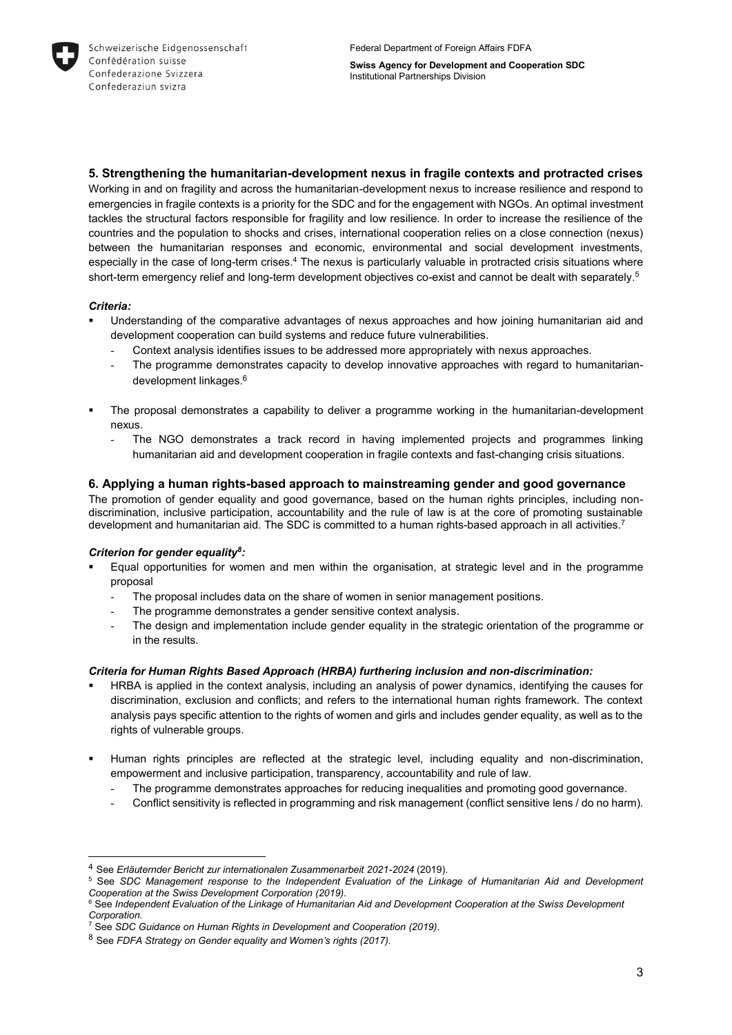

**5. Strengthening the humanitarian-development nexus in fragile contexts and protracted crises**

Working in and on fragility and across the humanitarian-development nexus to increase resilience and respond to emergencies in fragile contexts is a priority for the SDC and for the engagement with NGOs. An optimal investment tackles the structural factors responsible for fragility and low resilience. In order to increase the resilience of the countries and the population to shocks and crises, international cooperation relies on a close connection (nexus) between the humanitarian responses and economic, environmental and social development investments, especially in the case of long-term crises.<sup>4</sup> The nexus is particularly valuable in protracted crisis situations where short-term emergency relief and long-term development objectives co-exist and cannot be dealt with separately. 5

#### *Criteria:*

-

- Understanding of the comparative advantages of nexus approaches and how joining humanitarian aid and development cooperation can build systems and reduce future vulnerabilities.
	- Context analysis identifies issues to be addressed more appropriately with nexus approaches.
	- The programme demonstrates capacity to develop innovative approaches with regard to humanitariandevelopment linkages. 6
- The proposal demonstrates a capability to deliver a programme working in the humanitarian-development nexus.
	- The NGO demonstrates a track record in having implemented projects and programmes linking humanitarian aid and development cooperation in fragile contexts and fast-changing crisis situations.

## **6. Applying a human rights-based approach to mainstreaming gender and good governance**

The promotion of gender equality and good governance, based on the human rights principles, including nondiscrimination, inclusive participation, accountability and the rule of law is at the core of promoting sustainable development and humanitarian aid. The SDC is committed to a human rights-based approach in all activities.<sup>7</sup>

#### *Criterion for gender equality<sup>8</sup> :*

- Equal opportunities for women and men within the organisation, at strategic level and in the programme proposal
	- The proposal includes data on the share of women in senior management positions.
	- The programme demonstrates a gender sensitive context analysis.
	- The design and implementation include gender equality in the strategic orientation of the programme or in the results.

#### *Criteria for Human Rights Based Approach (HRBA) furthering inclusion and non-discrimination:*

- HRBA is applied in the context analysis, including an analysis of power dynamics, identifying the causes for discrimination, exclusion and conflicts; and refers to the international human rights framework. The context analysis pays specific attention to the rights of women and girls and includes gender equality, as well as to the rights of vulnerable groups.
- Human rights principles are reflected at the strategic level, including equality and non-discrimination, empowerment and inclusive participation, transparency, accountability and rule of law.
	- The programme demonstrates approaches for reducing inequalities and promoting good governance.
	- Conflict sensitivity is reflected in programming and risk management (conflict sensitive lens / do no harm).

<sup>4</sup> See *Erläuternder Bericht zur internationalen Zusammenarbeit 2021-2024* (2019).

<sup>5</sup> See *SDC Management response to the Independent Evaluation of the Linkage of Humanitarian Aid and Development Cooperation at the Swiss Development Corporation (2019)*.

<sup>&</sup>lt;sup>6</sup> See Independent Evaluation of the Linkage of Humanitarian Aid and Development Cooperation at the Swiss Development *Corporation*.

<sup>7</sup> See *SDC Guidance on Human Rights in Development and Cooperation (2019)*.

<sup>8</sup> See *FDFA Strategy on Gender equality and Women's rights (2017).*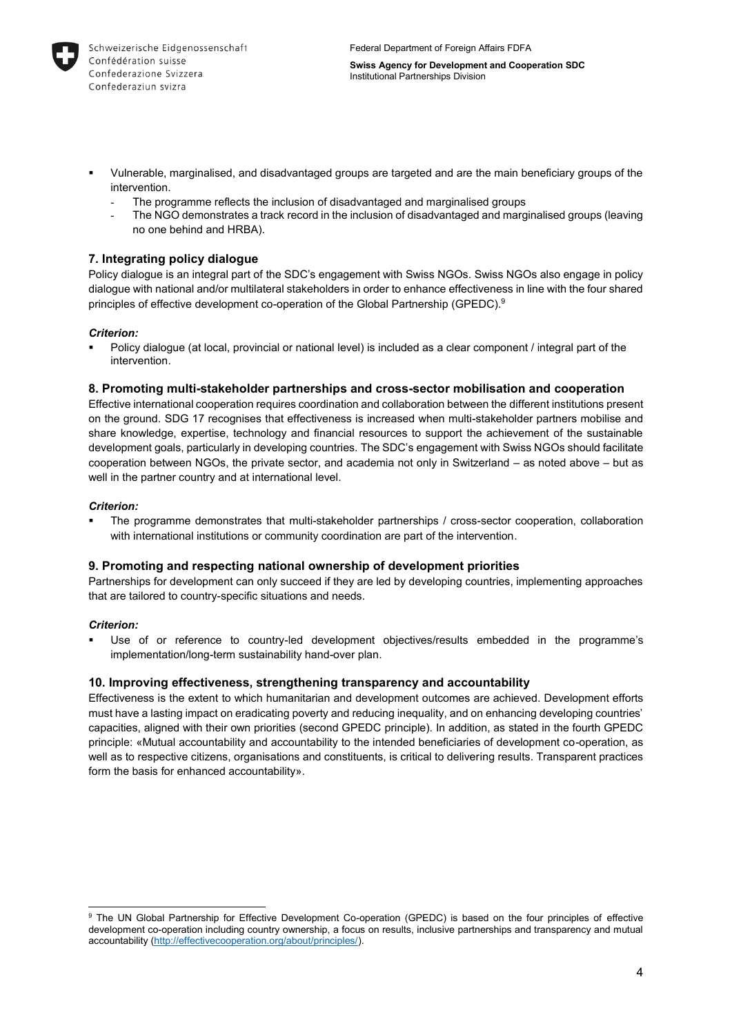

- Vulnerable, marginalised, and disadvantaged groups are targeted and are the main beneficiary groups of the intervention.
	- The programme reflects the inclusion of disadvantaged and marginalised groups
	- The NGO demonstrates a track record in the inclusion of disadvantaged and marginalised groups (leaving no one behind and HRBA).

## **7. Integrating policy dialogue**

Policy dialogue is an integral part of the SDC's engagement with Swiss NGOs. Swiss NGOs also engage in policy dialogue with national and/or multilateral stakeholders in order to enhance effectiveness in line with the four shared principles of effective development co-operation of the Global Partnership (GPEDC). 9

#### *Criterion:*

 Policy dialogue (at local, provincial or national level) is included as a clear component / integral part of the intervention.

#### **8. Promoting multi-stakeholder partnerships and cross-sector mobilisation and cooperation**

Effective international cooperation requires coordination and collaboration between the different institutions present on the ground. SDG 17 recognises that effectiveness is increased when multi-stakeholder partners mobilise and share knowledge, expertise, technology and financial resources to support the achievement of the sustainable development goals, particularly in developing countries. The SDC's engagement with Swiss NGOs should facilitate cooperation between NGOs, the private sector, and academia not only in Switzerland – as noted above – but as well in the partner country and at international level.

#### *Criterion:*

 The programme demonstrates that multi-stakeholder partnerships / cross-sector cooperation, collaboration with international institutions or community coordination are part of the intervention.

## **9. Promoting and respecting national ownership of development priorities**

Partnerships for development can only succeed if they are led by developing countries, implementing approaches that are tailored to country-specific situations and needs.

#### *Criterion:*

 Use of or reference to country-led development objectives/results embedded in the programme's implementation/long-term sustainability hand-over plan.

## **10. Improving effectiveness, strengthening transparency and accountability**

Effectiveness is the extent to which humanitarian and development outcomes are achieved. Development efforts must have a lasting impact on eradicating poverty and reducing inequality, and on enhancing developing countries' capacities, aligned with their own priorities (second GPEDC principle). In addition, as stated in the fourth GPEDC principle: «Mutual accountability and accountability to the intended beneficiaries of development co-operation, as well as to respective citizens, organisations and constituents, is critical to delivering results. Transparent practices form the basis for enhanced accountability».

<sup>-</sup><sup>9</sup> The UN Global Partnership for Effective Development Co-operation (GPEDC) is based on the four principles of effective development co-operation including country ownership, a focus on results, inclusive partnerships and transparency and mutual accountability [\(http://effectivecooperation.org/about/principles/\)](http://effectivecooperation.org/about/principles/).